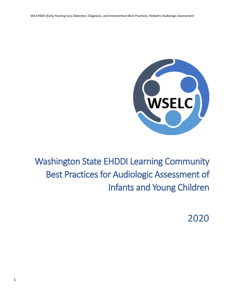

Washington State EHDDI Learning Community Best Practices for Audiologic Assessment of Infants and Young Children

2020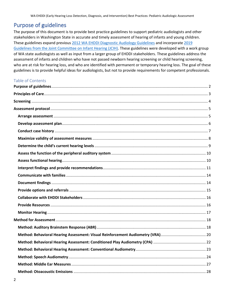# <span id="page-1-0"></span>Purpose of guidelines

The purpose of this document is to provide best practice guidelines to support pediatric audiologists and other stakeholders in Washington State in accurate and timely assessment of hearing of infants and young children. These guidelines expand previous [2012 WA EHDDI Diagnostic Audiology Guidelines](https://www.doh.wa.gov/Portals/1/Documents/Pubs/344-016_EHDDIAudioProtocol.pdf) and incorporat[e 2019](https://digitalcommons.usu.edu/cgi/viewcontent.cgi?article=1104&context=jehdi)  Guidelines [from the Joint Committee on Infant Hearing \(JCIH\).](https://digitalcommons.usu.edu/cgi/viewcontent.cgi?article=1104&context=jehdi) These guidelines were developed with a work group of WA state audiologists as well as input from a larger group of EHDDI stakeholders. These guidelines address the assessment of infants and children who have not passed newborn hearing screening or child hearing screening, who are at risk for hearing loss, and who are identified with permanent or temporary hearing loss. The goal of these guidelines is to provide helpful ideas for audiologists, but not to provide requirements for competent professionals.

#### Table of Contents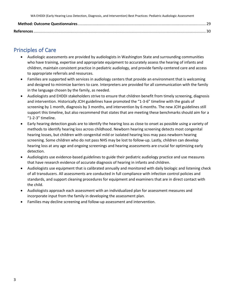# <span id="page-2-0"></span>Principles of Care

- Audiologic assessments are provided by audiologists in Washington State and surrounding communities who have training, expertise and appropriate equipment to accurately assess the hearing of infants and children, maintain consistent practice in pediatric audiology, and provide family-centered care and access to appropriate referrals and resources.
- Families are supported with services in audiology centers that provide an environment that is welcoming and designed to minimize barriers to care. Interpreters are provided for all communication with the family in the language chosen by the family, as needed.
- Audiologists and EHDDI stakeholders strive to ensure that children benefit from timely screening, diagnosis and intervention. Historically JCIH guidelines have promoted the "1-3-6" timeline with the goals of screening by 1 month, diagnosis by 3 months, and intervention by 6 months. The new JCIH guidelines still support this timeline, but also recommend that states that are meeting these benchmarks should aim for a "1-2-3" timeline.
- Early hearing detection goals are to identify the hearing loss as close to onset as possible using a variety of methods to identify hearing loss across childhood. Newborn hearing screening detects most congenital hearing losses, but children with congenital mild or isolated hearing loss may pass newborn hearing screening. Some children who do not pass NHS may be lost to follow-up. Lastly, children can develop hearing loss at any age and ongoing screenings and hearing assessments are crucial for optimizing early detection.
- Audiologists use evidence-based guidelines to guide their pediatric audiology practice and use measures that have research evidence of accurate diagnosis of hearing in infants and children.
- Audiologists use equipment that is calibrated annually and monitored with daily biologic and listening check of all transducers. All assessments are conducted in full compliance with infection control policies and standards, and support cleaning procedures for equipment and examiners that are in direct contact with the child.
- Audiologists approach each assessment with an individualized plan for assessment measures and incorporate input from the family in developing the assessment plan.
- Families may decline screening and follow-up assessment and intervention.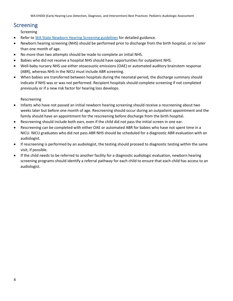# <span id="page-3-0"></span>Screening

Screening

- Refer t[o WA State Newborn Hearing Screening guidelines](https://www.doh.wa.gov/Portals/1/Documents/Pubs/344-023_EHDDINBScrnProto.pdf) for detailed guidance.
- Newborn hearing screening (NHS) should be performed prior to discharge from the birth hospital, or no later than one month of age.
- No more than two attempts should be made to complete an initial NHS.
- Babies who did not receive a hospital NHS should have opportunities for outpatient NHS.
- Well-baby nursery NHS use either otoacoustic emissions (OAE) or automated auditory brainstem response (ABR), whereas NHS in the NICU must include ABR screening.
- When babies are transferred between hospitals during the neonatal period, the discharge summary should indicate if NHS was or was not performed. Recipient hospitals should complete screening if not completed previously or if a new risk factor for hearing loss develops.

Rescreening

- Infants who have not passed an initial newborn hearing screening should receive a rescreening about two weeks later but before one month of age. Rescreening should occur during an outpatient appointment and the family should have an appointment for the rescreening before discharge from the birth hospital.
- Rescreening should include both ears, even if the child did not pass the initial screen in one ear.
- Rescreening can be completed with either OAE or automated ABR for babies who have not spent time in a NICU. NICU graduates who did not pass ABR NHS should be scheduled for a diagnostic ABR evaluation with an audiologist.
- If rescreening is performed by an audiologist, the testing should proceed to diagnostic testing within the same visit, if possible.
- If the child needs to be referred to another facility for a diagnostic audiologic evaluation, newborn hearing screening programs should identify a referral pathway for each child to ensure that each child has access to an audiologist.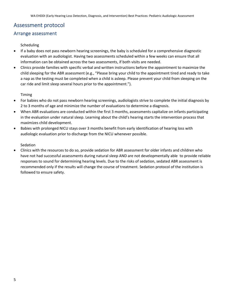# <span id="page-4-0"></span>Assessment protocol

#### <span id="page-4-1"></span>Arrange assessment

#### Scheduling

- If a baby does not pass newborn hearing screenings, the baby is scheduled for a comprehensive diagnostic evaluation with an audiologist. Having two assessments scheduled within a few weeks can ensure that all information can be obtained across the two assessments, if both visits are needed.
- Clinics provide families with specific verbal and written instructions before the appointment to maximize the child sleeping for the ABR assessment (e.g., "Please bring your child to the appointment tired and ready to take a nap as the testing must be completed when a child is asleep. Please prevent your child from sleeping on the car ride and limit sleep several hours prior to the appointment.").

Timing

- For babies who do not pass newborn hearing screenings, audiologists strive to complete the initial diagnosis by 2 to 3 months of age and minimize the number of evaluations to determine a diagnosis.
- When ABR evaluations are conducted within the first 3 months, assessments capitalize on infants participating in the evaluation under natural sleep. Learning about the child's hearing starts the intervention process that maximizes child development.
- Babies with prolonged NICU stays over 3 months benefit from early identification of hearing loss with audiologic evaluation prior to discharge from the NICU whenever possible.

Sedation

• Clinics with the resources to do so, provide sedation for ABR assessment for older infants and children who have not had successful assessments during natural sleep AND are not developmentally able to provide reliable responses to sound for determining hearing levels. Due to the risks of sedation, sedated ABR assessment is recommended only if the results will change the course of treatment. Sedation protocol of the institution is followed to ensure safety.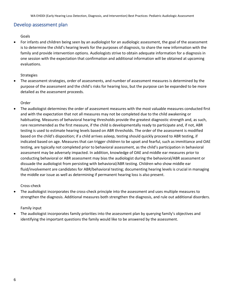### <span id="page-5-0"></span>Develop assessment plan

Goals

• For infants and children being seen by an audiologist for an audiologic assessment, the goal of the assessment is to determine the child's hearing levels for the purposes of diagnosis, to share the new information with the family and provide intervention options. Audiologists strive to obtain adequate information for a diagnosis in one session with the expectation that confirmation and additional information will be obtained at upcoming evaluations.

#### Strategies

• The assessment strategies, order of assessments, and number of assessment measures is determined by the purpose of the assessment and the child's risks for hearing loss, but the purpose can be expanded to be more detailed as the assessment proceeds.

#### Order

• The audiologist determines the order of assessment measures with the most valuable measures conducted first and with the expectation that not all measures may not be completed due to the child awakening or habituating. Measures of behavioral hearing thresholds provide the greatest diagnostic strength and, as such, rare recommended as the first measure, if the child is developmentally ready to participate and, if not, ABR testing is used to estimate hearing levels based on ABR thresholds. The order of the assessment is modified based on the child's disposition; if a child arrives asleep, testing should quickly proceed to ABR testing, if indicated based on age. Measures that can trigger children to be upset and fearful, such as immittance and OAE testing, are typically not completed prior to behavioral assessment, as the child's participation in behavioral assessment may be adversely impacted. In addition, knowledge of OAE and middle ear measures prior to conducting behavioral or ABR assessment may bias the audiologist during the behavioral/ABR assessment or dissuade the audiologist from persisting with behavioral/ABR testing. Children who show middle ear fluid/involvement are candidates for ABR/behavioral testing; documenting hearing levels is crucial in managing the middle ear issue as well as determining if permanent hearing loss is also present.

#### Cross-check

• The audiologist incorporates the cross-check principle into the assessment and uses multiple measures to strengthen the diagnosis. Additional measures both strengthen the diagnosis, and rule out additional disorders.

#### Family input

• The audiologist incorporates family priorities into the assessment plan by querying family's objectives and identifying the important questions the family would like to be answered by the assessment.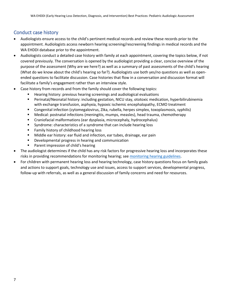# <span id="page-6-0"></span>Conduct case history

- Audiologists ensure access to the child's pertinent medical records and review these records prior to the appointment. Audiologists access newborn hearing screening/rescreening findings in medical records and the WA EHDDI database prior to the appointment.
- Audiologists conduct a detailed case history with family at each appointment, covering the topics below, if not covered previously. The conversation is opened by the audiologist providing a clear, concise overview of the purpose of the assessment (Why are we here?) as well as a summary of past assessments of the child's hearing (What do we know about the child's hearing so far?). Audiologists use both yes/no questions as well as openended questions to facilitate discussion. Case histories that flow in a conversation and discussion format will facilitate a family's engagement rather than an interview style.
- Case history from records and from the family should cover the following topics:
	- Hearing history: previous hearing screenings and audiological evaluations
	- Perinatal/Neonatal history: including gestation, NICU stay, ototoxic medication, hyperbilirubinemia with exchange transfusion, asphyxia, hypoxic ischemic encephalopathy, ECMO treatment
	- Congenital infection (cytomegalovirus, Zika, rubella, herpes simplex, toxoplasmosis, syphilis)
	- Medical: postnatal infections (meningitis, mumps, measles), head trauma, chemotherapy
	- Craniofacial malformations (ear dysplasia, microcephaly, hydrocephalus)
	- Syndrome: characteristics of a syndrome that can include hearing loss
	- Family history of childhood hearing loss
	- Middle ear history: ear fluid and infection, ear tubes, drainage, ear pain
	- Developmental progress in hearing and communication
	- Parent impression of child's hearing
- The audiologist determines if the child has any risk factors for progressive hearing loss and incorporates these risks in providing recommendations for monitoring hearing; see [monitoring hearing guidelines.](#page-16-0)
- For children with permanent hearing loss and hearing technology, case history questions focus on family goals and actions to support goals, technology use and issues, access to support services, developmental progress, follow-up with referrals, as well as a general discussion of family concerns and need for resources.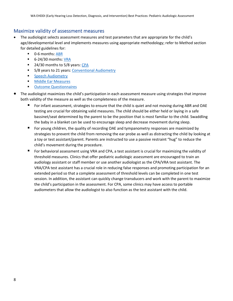#### <span id="page-7-0"></span>Maximize validity of assessment measures

- The audiologist selects assessment measures and test parameters that are appropriate for the child's age/developmental level and implements measures using appropriate methodology; refer to Method section for detailed guidelines for:
	- 0-6 months[: ABR](#page-17-2)
	- 6-24/30 months[: VRA](#page-19-1)
	- 24/30 months to 5/8 years: [CPA](#page-21-1)
	- 5/8 years to 21 years: [Conventional Audiometry](#page-22-0)
	- **Ending [Speech Audiometry](#page-23-0)**
	- [Middle Ear Measures](#page-26-0)
	- Outcome Questionnaires
- The audiologist maximizes the child's participation in each assessment measure using strategies that improve both validity of the measure as well as the completeness of the measure.
	- For infant assessment, strategies to ensure that the child is quiet and not moving during ABR and OAE testing are crucial for obtaining valid measures. The child should be either held or laying in a safe bassinet/seat determined by the parent to be the position that is most familiar to the child. Swaddling the baby in a blanket can be used to encourage sleep and decrease movement during sleep.
	- For young children, the quality of recording OAE and tympanometry responses are maximized by strategies to prevent the child from removing the ear probe as well as distracting the child by looking at a toy or test assistant/parent. Parents are instructed to use a passive restraint "hug" to reduce the child's movement during the procedure.
	- For behavioral assessment using VRA and CPA, a test assistant is crucial for maximizing the validity of threshold measures. Clinics that offer pediatric audiologic assessment are encouraged to train an audiology assistant or staff member or use another audiologist as the CPA/VRA test assistant. The VRA/CPA test assistant has a crucial role in reducing false responses and promoting participation for an extended period so that a complete assessment of threshold levels can be completed in one test session. In addition, the assistant can quickly change transducers and work with the parent to maximize the child's participation in the assessment. For CPA, some clinics may have access to portable audiometers that allow the audiologist to also function as the test assistant with the child.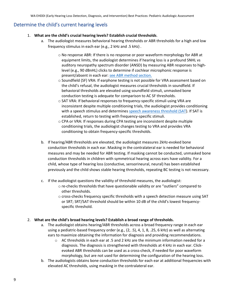### <span id="page-8-0"></span>Determine the child's current hearing levels

- 1. **What are the child's crucial hearing levels? Establish crucial thresholds**.
	- a. The audiologist measures behavioral hearing thresholds or ABR thresholds for a high and low frequency stimulus in each ear (e.g., 2 kHz and .5 kHz) .
		- o No response ABR: If there is no response or poor waveform morphology for ABR at equipment limits, the audiologist determines if hearing loss is a profound SNHL vs auditory neuropathy spectrum disorder (ANSD) by measuring ABR responses to highlevel (e.g., 90 dBnHL) clicks to determine if cochlear microphonic response is present/absent in each ear: see ABR [method section.](#page-17-2)
		- o Soundfield (SF) VRA: If earphone testing is not possible for VRA assessment based on the child's refusal, the audiologist measures crucial thresholds in soundfield. If behavioral thresholds are elevated using soundfield stimuli, unmasked bone conduction testing is adequate for comparison to AC SF thresholds.
		- o SAT VRA: If behavioral responses to frequency-specific stimuli using VRA are inconsistent despite multiple conditioning trials, the audiologist provides conditioning with a speech stimulus and determines [speech awareness threshold \(SAT\)](#page-23-0). If SAT is established, return to testing with frequency-specific stimuli.
		- o CPA or VRA: If responses during CPA testing are inconsistent despite multiple conditioning trials, the audiologist changes testing to VRA and provides VRA conditioning to obtain frequency-specific thresholds.
	- b. If hearing/ABR thresholds are elevated, the audiologist measures 2kHz-evoked bone conduction thresholds in each ear. Masking in the contralateral ear is needed for behavioral measures and may be needed for ABR testing. If masking cannot be conducted, unmasked bone conduction thresholds in children with symmetrical hearing across ears have validity. For a child, whose type of hearing loss (conductive, sensorineural, neural) has been established previously and the child shows stable hearing thresholds, repeating BC testing is not necessary.
	- c. If the audiologist questions the validity of threshold measures, the audiologist:
		- o re-checks thresholds that have questionable validity or are "outliers" compared to other thresholds.
		- o cross-checks frequency specific thresholds with a speech detection measure using SAT or SRT; SRT/SAT threshold should be within 10 dB of the child's lowest frequencyspecific threshold.

#### 2. **What are the child's broad hearing levels? Establish a broad range of thresholds.**

- a. The audiologist obtains hearing/ABR thresholds across a broad frequency range in each ear using a pediatric-based frequency order (e.g., (2, .5), 4, 1, 8, .25, 6 kHz) as well as alternating ears to maximize obtaining the information for diagnosis and providing recommendations.
	- $\circ$  AC thresholds in each ear at .5 and 2 kHz are the minimum information needed for a diagnosis. The diagnosis is strengthened with thresholds at 4 kHz in each ear. Clickevoked ABR thresholds can be used as a cross-check, if needed for poor waveform morphology, but are not used for determining the configuration of the hearing loss.
- b. The audiologists obtains bone conduction thresholds for each ear at additional frequencies with elevated AC thresholds, using masking in the contralateral ear.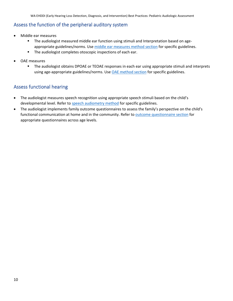#### <span id="page-9-0"></span>Assess the function of the peripheral auditory system

- Middle ear measures
	- **■** The audiologist measured middle ear function using stimuli and Interpretation based on ageappropriate guidelines/norms. Use [middle ear measures method section](#page-26-0) for specific guidelines.
	- The audiologist completes otoscopic inspections of each ear.
- OAE measures
	- The audiologist obtains DPOAE or TEOAE responses in each ear using appropriate stimuli and interprets using age-appropriate guidelines/norms. Use **OAE** method section for specific guidelines.

### <span id="page-9-1"></span>Assess functional hearing

- The audiologist measures speech recognition using appropriate speech stimuli based on the child's developmental level. Refer to [speech audiometry method](#page-23-0) for specific guidelines.
- The audiologist implements family outcome questionnaires to assess the family's perspective on the child's functional communication at home and in the community. Refer to outcome questionnaire section for appropriate questionnaires across age levels.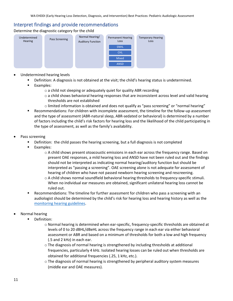#### <span id="page-10-0"></span>Interpret findings and provide recommendations

Determine the diagnostic category for the child



- Undetermined hearing levels
	- Definition: A diagnosis is not obtained at the visit; the child's hearing status is undetermined.
	- Examples:
		- o a child not sleeping or adequately quiet for quality ABR recording
		- o a child shows behavioral hearing responses that are inconsistent across level and valid hearing thresholds are not established
		- $\circ$  limited information is obtained and does not qualify as "pass screening" or "normal hearing"
	- Recommendations: For children with incomplete assessment, the timeline for the follow-up assessment and the type of assessment (ABR-natural sleep, ABR-sedated or behavioral) is determined by a number of factors including the child's risk factors for hearing loss and the likelihood of the child participating in the type of assessment, as well as the family's availability.
- Pass screening
	- Definition: the child passes the hearing screening, but a full diagnosis is not completed
	- Examples:
		- $\circ$  A child shows present otoacoustic emissions in each ear across the frequency range. Based on present OAE responses, a mild hearing loss and ANSD have not been ruled out and the findings should not be interpreted as indicating normal hearing/auditory function but should be interpreted as "passing a screening". OAE screening alone is not adequate for assessment of hearing of children who have not passed newborn hearing screening and rescreening.
		- o A child shows normal soundfield behavioral hearing thresholds to frequency-specific stimuli. When no individual ear measures are obtained, significant unilateral hearing loss cannot be ruled out.
	- Recommendations: The timeline for further assessment for children who pass a screening with an audiologist should be determined by the child's risk for hearing loss and hearing history as well as the [monitoring hearing guidelines.](#page-16-0)
- Normal hearing
	- Definition:
		- o Normal hearing is determined when ear-specific, frequency-specific thresholds are obtained at levels of 0 to 20 dBHL/dBeHL across the frequency range in each ear via either behavioral assessment or ABR and based on a minimum of thresholds for both a low and high frequency (.5 and 2 kHz) in each ear.
		- $\circ$  The diagnosis of normal hearing is strengthened by including thresholds at additional frequencies, particularly 4 kHz. Isolated hearing losses can be ruled out when thresholds are obtained for additional frequencies (.25, 1 kHz, etc.).
		- $\circ$  The diagnosis of normal hearing is strengthened by peripheral auditory system measures (middle ear and OAE measures).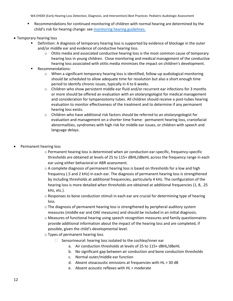- Recommendations for continued monitoring of children with normal hearing are determined by the child's risk for hearing change: see [monitoring hearing guidelines.](#page-16-0)
- Temporary hearing loss
	- Definition: A diagnosis of temporary hearing loss is supported by evidence of blockage in the outer and/or middle ear and evidence of conductive hearing loss.
		- o Otitis media and associated conductive hearing loss is the most common cause of temporary hearing loss in young children. Close monitoring and medical management of the conductive hearing loss associated with otitis media minimizes the impact on children's development.
	- Recommendations:
		- $\circ$  When a significant temporary hearing loss is identified, follow-up audiological monitoring should be scheduled to allow adequate time for resolution but also a short enough time period to identify chronic issues, typically in 4 to 6 weeks.
		- $\circ$  Children who show persistent middle ear fluid and/or recurrent ear infections for 3 months or more should be offered an evaluation with an otolaryngologist for medical management and consideration for tympanostomy tubes. All children should receive a post-tubes hearing evaluation to monitor effectiveness of the treatment and to determine if any permanent hearing loss exists.
		- o Children who have additional risk factors should be referred to an otolaryngologist for evaluation and management on a shorter time frame: permanent hearing loss, craniofacial abnormalities, syndromes with high risk for middle ear issues, or children with speech and language delays.
- Permanent hearing loss
	- o Permanent hearing loss is determined when air conduction ear-specific, frequency-specific thresholds are obtained at levels of 25 to 115+ dBHL/dBeHL across the frequency range in each ear using either behavioral or ABR assessment.
	- $\circ$  A complete diagnosis of permanent hearing loss is based on thresholds for a low and high frequency (.5 and 2 kHz) in each ear. The diagnosis of permanent hearing loss is strengthened by including thresholds at additional frequencies, particularly 4 kHz. The configuration of the hearing loss is more detailed when thresholds are obtained at additional frequencies (1, 8, .25 kHz, etc.).
	- $\circ$  Responses to bone conduction stimuli in each ear are crucial for determining type of hearing loss.
	- o The diagnosis of permanent hearing loss is strengthened by peripheral auditory system measures (middle ear and OAE measures) and should be included in an initial diagnosis.
	- o Measures of functional hearing using speech recognition measures and family questionnaires provide additional information about the impact of the hearing loss and are completed, if possible, given the child's developmental level.
	- o Types of permanent hearing loss
		- $\Box$  Sensorineural: hearing loss isolated to the cochlea/inner ear
			- a. Air conduction thresholds at levels of 25 to 115+ dBHL/dBeHL
			- b. No significant gap between air conduction and bone conduction thresholds
			- c. Normal outer/middle ear function
			- d. Absent otoacoustic emissions at frequencies with HL > 30 dB
			- e. Absent acoustic reflexes with HL > moderate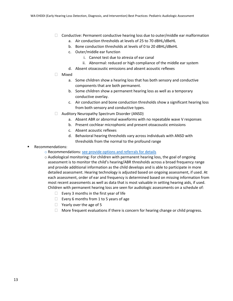- $\Box$  Conductive: Permanent conductive hearing loss due to outer/middle ear malformation
	- a. Air conduction thresholds at levels of 25 to 70 dBHL/dBeHL
	- b. Bone conduction thresholds at levels of 0 to 20 dBHL/dBeHL
	- c. Outer/middle ear function
		- i. Cannot test due to atresia of ear canal
		- ii. Abnormal: reduced or high compliance of the middle ear system
	- d. Absent otoacoustic emissions and absent acoustic reflexes
- Mixed
	- a. Some children show a hearing loss that has both sensory and conductive components that are both permanent.
	- b. Some children show a permanent hearing loss as well as a temporary conductive overlay.
	- c. Air conduction and bone conduction thresholds show a significant hearing loss from both sensory and conductive types.
- □ Auditory Neuropathy Spectrum Disorder (ANSD)
	- a. Absent ABR or abnormal waveforms with no repeatable wave V responses
	- b. Present cochlear microphonic and present otoacoustic emissions
	- c. Absent acoustic reflexes
	- d. Behavioral hearing thresholds vary across individuals with ANSD with thresholds from the normal to the profound range
- Recommendations:
	- o Recommendations: [see provide options and referrals for details](#page-14-0)
	- $\circ$  Audiological monitoring: For children with permanent hearing loss, the goal of ongoing assessment is to monitor the child's hearing/ABR thresholds across a broad frequency range and provide additional information as the child develops and is able to participate in more detailed assessment. Hearing technology is adjusted based on ongoing assessment, if used. At each assessment, order of ear and frequency is determined based on missing information from most recent assessments as well as data that is most valuable in setting hearing aids, if used. Children with permanent hearing loss are seen for audiologic assessments on a schedule of:
		- $\Box$  Every 3 months in the first year of life
		- Every 6 months from 1 to 5 years of age
		- $\Box$  Yearly over the age of 5
		- $\Box$  More frequent evaluations if there is concern for hearing change or child progress.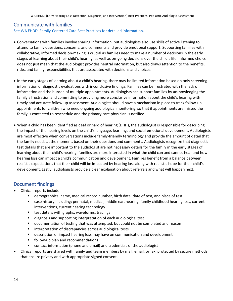#### <span id="page-13-0"></span>Communicate with families

[See WA EHDDI Family-Centered Care Best Practices for detailed information.](https://cpb-us-e1.wpmucdn.com/sites.uw.edu/dist/0/1158/files/2019/07/WSELC-Best-Practices-Family-Centered-Care-and-Converstions.pdf)

- Conversations with families involve sharing information, but audiologists also use skills of active listening to attend to family questions, concerns, and comments and provide emotional support. Supporting families with collaborative, informed decision-making is crucial as families need to make a number of decisions in the early stages of learning about their child's hearing, as well as on-going decisions over the child's life. Informed choice does not just mean that the audiologist provides neutral information, but also draws attention to the benefits, risks, and family responsibilities that are associated with decisions and choices.
- In the early stages of learning about a child's hearing, there may be limited information based on only screening information or diagnostic evaluations with inconclusive findings. Families can be frustrated with the lack of information and the burden of multiple appointments. Audiologists can support families by acknowledging the family's frustration and committing to providing more conclusive information about the child's hearing with timely and accurate follow-up assessment. Audiologists should have a mechanism in place to track follow-up appointments for children who need ongoing audiological monitoring, so that if appointments are missed the family is contacted to reschedule and the primary care physician is notified.
- When a child has been identified as deaf or hard of hearing (DHH), the audiologist is responsible for describing the impact of the hearing levels on the child's language, learning, and social-emotional development. Audiologists are most effective when conversations include family-friendly terminology and provide the amount of detail that the family needs at the moment, based on their questions and comments. Audiologists recognize that diagnostic test details that are important to the audiologist are not necessary details for the family in the early stages of learning about their child's hearing; families are more interested in what the child can and cannot hear and how hearing loss can impact a child's communication and development. Families benefit from a balance between realistic expectations that their child will be impacted by hearing loss along with realistic hope for their child's development. Lastly, audiologists provide a clear explanation about referrals and what will happen next.

### <span id="page-13-1"></span>Document findings

- Clinical reports include:
	- demographics: name, medical record number, birth date, date of test, and place of test
	- case history including: perinatal, medical, middle ear, hearing, family childhood hearing loss, current interventions, current hearing technology
	- test details with graphs, waveforms, tracings
	- diagnosis and supporting interpretation of each audiological test
	- documentation of testing that was attempted, but could not be completed and reason
	- interpretation of discrepancies across audiological tests
	- **■** description of impact hearing loss may have on communication and development
	- follow-up plan and recommendations
	- contact information (phone and email) and credentials of the audiologist
- Clinical reports are shared with family and team members by mail, email, or fax, protected by secure methods that ensure privacy and with appropriate signed consent.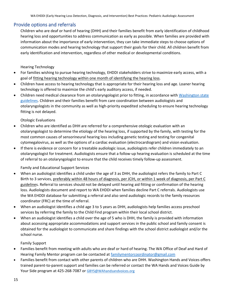#### <span id="page-14-0"></span>Provide options and referrals

Children who are deaf or hard of hearing (DHH) and their families benefit from early identification of childhood hearing loss and opportunities to address communication as early as possible. When families are provided with information about the importance of early intervention, they can take immediate steps to choose options of communication modes and hearing technology that support their goals for their child. All children benefit from early identification and intervention, regardless of other medical or developmental conditions.

Hearing Technology

- For families wishing to pursue hearing technology, EHDDI stakeholders strive to maximize early access, with a goal of fitting hearing technology within one month of identifying the hearing loss.
- Children have access to hearing technology that is appropriate for their hearing loss and age. Loaner hearing technology is offered to maximize the child's early auditory access, if needed.
- Children need medical clearance from an otolaryngologist prior to fitting, in accordance with Washington state [guidelines.](https://apps.leg.wa.gov/WAC/default.aspx?cite=246-828-100&pdf=true) Children and their families benefit from care coordination between audiologists and otolaryngologists in the community as well as high-priority expedited scheduling to ensure hearing technology fitting is not delayed.

#### Otologic Evaluations

- Children who are identified as DHH are referred for a comprehensive otologic evaluation with an otolaryngologist to determine the etiology of the hearing loss, if supported by the family, with testing for the most common causes of sensorineural hearing loss including genetic testing and testing for congenital cytomegalovirus, as well as the options of a cardiac evaluation (electrocardiogram) and vision evaluation.
- If there is evidence or concern for a treatable audiologic issue, audiologists refer children immediately to an otolaryngologist for treatment. Audiologists ensure that a follow-up hearing evaluation is scheduled at the time of referral to an otolaryngologist to ensure that the child receives timely follow-up assessment.

#### Family and Educational Support Services

- When an audiologist identifies a child under the age of 3 as DHH, the audiologist refers the family to Part C Birth to 3 services, preferably within 48 hours of diagnosis, per JCIH, or within 1 week of diagnosis, per Part C guidelines. Referral to services should not be delayed until hearing aid fitting or confirmation of the hearing loss. Audiologists document and report to WA EHDDI when families decline Part C referrals. Audiologists use the WA EHDDI database for submitting a referral and also send audiologic records to the family resources coordinator (FRC) at the time of referral.
- When an audiologist identifies a child age 3 to 5 years as DHH, audiologists help families access preschool services by referring the family to the Child Find program within their local school district.
- When an audiologist identifies a child over the age of 5 who is DHH, the family is provided with information about accessing appropriate accommodations and support services in the public school and family consent is obtained for the audiologist to communicate and share findings with the school district audiologist and/or the school nurse.

Family Support

- Families benefit from meeting with adults who are deaf or hard of hearing. The WA Office of Deaf and Hard of Hearing Family Mentor program can be contacted at [familymentorcoordinator@gmail.com](mailto:familymentorcoordinator@gmail.com)
- Families benefit from contact with other parents of children who are DHH. Washington Hands and Voices offers trained parent-to-parent support and families can be referred or contact the WA Hands and Voices Guide by Your Side program at 425-268-7087 or [GBYS@WAhandsandvoices.org](mailto:GBYS@WAhandsandvoices.org)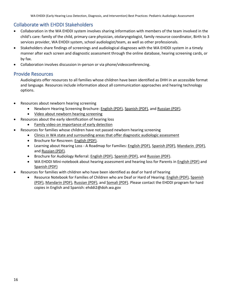### <span id="page-15-0"></span>Collaborate with EHDDI Stakeholders

- Collaboration in the WA EHDDI system involves sharing information with members of the team involved in the child's care: family of the child, primary care physician, otolaryngologist, family resource coordinator, Birth to 3 services provider, WA EHDDI system, school audiologist/team, as well as other professionals.
- Stakeholders share findings of screenings and audiological diagnoses with the WA EHDDI system in a timely manner after each screen and diagnostic assessment through the online database, hearing screening cards, or by fax.
- Collaboration involves discussion in-person or via phone/videoconferencing.

#### <span id="page-15-1"></span>Provide Resources

Audiologists offer resources to all families whose children have been identified as DHH in an accessible format and language. Resources include information about all communication approaches and hearing technology options.

- Resources about newborn hearing screening
	- Newborn Hearing Screening Brochure: [English](https://here.doh.wa.gov/Portals/14/Materials/344-036-HearTest-en-L.pdf) (PDF)[, Spanish](https://here.doh.wa.gov/Portals/14/Materials/344-036-HearTest-es-L.pdf) (PDF), an[d Russian](https://here.doh.wa.gov/Portals/14/Materials/344-036-HearTest-ru-L.pdf) (PDF).
	- [Video about newborn hearing screening](https://youtu.be/GwnUKQX3DK4)
- Resources about the early identification of hearing loss
	- [Family video on importance of early detection](https://youtu.be/LbcF-ohbl44)
- Resources for families whose children have not passed newborn hearing screening
	- [Clinics in WA state and surrounding areas that offer diagnostic audiologic assessment](https://www.doh.wa.gov/Portals/1/Documents/Pubs/344-040_EHDDIPedAudioSvcs.pdf)
	- Brochure for Rescreen[: English](https://www.doh.wa.gov/Portals/1/Documents/Pubs/344-051-RescreenBrochure.pdf) (PDF).
	- Learning about Hearing Loss A Roadmap for Families: [English](https://www.doh.wa.gov/Portals/1/Documents/Pubs/344-NonDOH-ParentRoadmap-English.pdf) (PDF)[, Spanish](https://www.doh.wa.gov/Portals/1/Documents/Pubs/344-NonDOH-ParentRoadmap-Spanish.pdf) (PDF)[, Mandarin \(PDF\),](https://www.doh.wa.gov/Portals/1/Documents/Pubs/344-NonDOH-ParentRoadmap-Chinese.pdf) and [Russian](https://www.doh.wa.gov/Portals/1/Documents/Pubs/344-NonDOH-ParentRoadmap-russian.pdf) (PDF).
	- Brochure for Audiology Referral[: English](https://here.doh.wa.gov/Portals/14/Materials/344-034-HearEval-en-L.pdf) (PDF), [Spanish](https://here.doh.wa.gov/Portals/14/Materials/344-034-HearEval-es-L.pdf) (PDF), an[d Russian](https://here.doh.wa.gov/Portals/14/Materials/344-034-HearEval-ru-L.pdf) (PDF).
	- WA EHDDI Mini-notebook about hearing assessment and hearing loss for Parents in [English](https://www.doh.wa.gov/Portals/1/Documents/Pubs/344-077-Child-Hearing-Tests.pdf) (PDF) and [Spanish](https://www.doh.wa.gov/Portals/1/Documents/Pubs/344-077-Child-Hearing-Tests-es.pdf) (PDF)
- Resources for families with children who have been identified as deaf or hard of hearing
	- Resource Notebook for Families of Children who are Deaf or Hard of Hearing[: English](https://www.doh.wa.gov/Portals/1/Documents/Pubs/344-017_EHDDIResourceGuideEng.pdf) (PDF), [Spanish](https://www.doh.wa.gov/Portals/1/Documents/Pubs/344-017_EHDDIResourceGuideSpan.pdf) [\(PDF\),](https://www.doh.wa.gov/Portals/1/Documents/Pubs/344-017_EHDDIResourceGuideSpan.pdf) [Mandarin](https://www.doh.wa.gov/Portals/1/Documents/Pubs/344-017_EHDDIResourceGuideChinese.pdf) (PDF), [Russian](https://www.doh.wa.gov/Portals/1/Documents/Pubs/344-017_EHDDIResourceGuideRus.pdf) (PDF), and [Somali](https://www.doh.wa.gov/Portals/1/Documents/Pubs/344-017_EHDDIResourceGuideSom.pdf) (PDF). Please contact the EHDDI program for hard copies in English and Spanish: ehddi2@doh.wa.gov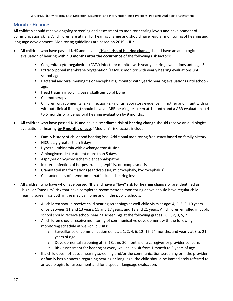### <span id="page-16-0"></span>Monitor Hearing

All children should receive ongoing screening and assessment to monitor hearing levels and development of communication skills. All children are at risk for hearing change and should have regular monitoring of hearing and language development. Monitoring guidelines are based on 2019 JCIH<sup>1</sup>.

- All children who have passed NHS and have a **"high" risk of hearing change** should have an audiological evaluation of hearing **within 3 months after the occurrence** of the following risk factors:
	- Congenital cytomegalovirus (CMV) infection; monitor with yearly hearing evaluations until age 3.
	- **EXTREOF EXTREOF IS EXTERNATE:** Extracorporeal membrane oxygenation (ECMO): monitor with yearly hearing evaluations until school-age.
	- Bacterial and viral meningitis or encephalitis; monitor with yearly hearing evaluations until schoolage.
	- Head trauma involving basal skull/temporal bone
	- Chemotherapy
	- Children with congenital Zika infection (Zika virus laboratory evidence in mother and infant with or without clinical finding) should have an ABR hearing rescreen at 1 month and a ABR evaluation at 4 to 6 months or a behavioral hearing evaluation by 9 months.
- All children who have passed NHS and have a **"medium" risk of hearing change** should receive an audiological evaluation of hearing **by 9 months of age**. "Medium" risk factors include:
	- Family history of childhood hearing loss. Additional monitoring frequency based on family history.
	- NICU stay greater than 5 days
	- Hyperbilirubinemia with exchange transfusion
	- Aminoglycoside treatment more than 5 days
	- Asphyxia or hypoxic ischemic encephalopathy
	- In utero infection of herpes, rubella, syphilis, or toxoplasmosis
	- Craniofacial malformations (ear dysplasia, microcephaly, hydrocephalus)
	- Characteristics of a syndrome that includes hearing loss
- All children who have who have passed NHS and have a **"low" risk for hearing change** or are identified as "high" or "medium" risk that have completed recommended monitoring above should have regular child hearing screenings both in the medical home and in the public schools.
	- All children should receive child hearing screenings at well-child visits at age: 4, 5, 6, 8, 10 years, once between 11 and 13 years, 15 and 17 years, and 18 and 21 years. All children enrolled in public school should receive school hearing screenings at the following grades: K, 1, 2, 3, 5, 7.
	- All children should receive monitoring of communicative development with the following monitoring schedule at well-child visits:
		- o Surveillance of communication skills at: 1, 2, 4, 6, 12, 15, 24 months, and yearly at 3 to 21 years of age.
		- o Developmental screening at: 9, 18, and 30 months or a caregiver or provider concern.
		- $\circ$  Risk assessment for hearing at every well child visit from 1 month to 3 years of age.
	- If a child does not pass a hearing screening and/or the communication screening or if the provider or family has a concern regarding hearing or language, the child should be immediately referred to an audiologist for assessment and for a speech-language evaluation.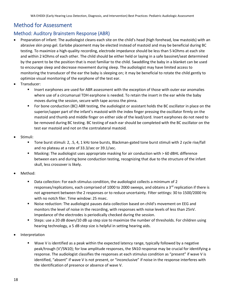# <span id="page-17-0"></span>Method for Assessment

### <span id="page-17-2"></span><span id="page-17-1"></span>Method: Auditory Brainstem Response (ABR)

- Preparation of infant: The audiologist cleans each site on the child's head (high forehead, low mastoids) with an abrasive skin prep gel. Earlobe placement may be elected instead of mastoid and may be beneficial during BC testing. To maximize a high-quality recording, electrode impedance should be less than 5 kOhms at each site and within 2 kOhms of each other. The child should be either held or laying in a safe bassinet/seat determined by the parent to be the position that is most familiar to the child. Swaddling the baby in a blanket can be used to encourage sleep and decrease movement during sleep. The audiologist may have limited access to monitoring the transducer of the ear the baby is sleeping on; it may be beneficial to rotate the child gently to optimize visual monitoring of the earphone of the test ear.
- Transducer:
	- Insert earphones are used for ABR assessment with the exception of those with outer ear anomalies where use of a circumarual TDH earphone is needed. To retain the insert in the ear while the baby moves during the session, secure with tape across the pinna.
	- For bone conduction (BC) ABR testing, the audiologist or assistant holds the BC oscillator in place on the superior/upper part of the infant's mastoid with the index finger pressing the oscillator firmly on the mastoid and thumb and middle finger on either side of the lead/cord. Insert earphones do not need to be removed during BC testing. BC testing of each ear should be completed with the BC oscillator on the test ear mastoid and not on the contralateral mastoid.
- Stimuli:
	- Tone burst stimuli: 2, .5, 4, 1 kHz tone bursts, Blackman-gated tone burst stimuli with 2 cycle rise/fall and no plateau at a rate of 33.3/sec or 39.1/sec.
	- Masking: The audiologist uses appropriate masking for air conduction with > 60 dBHL difference between ears and during bone conduction testing, recognizing that due to the structure of the infant skull, less crossover is likely.
- Method:
	- Data collection: For each stimulus condition, the audiologist collects a minimum of 2 responses/replications, each comprised of 1000 to 2000 sweeps, and obtains a  $3<sup>rd</sup>$  replication if there is not agreement between the 2 responses or to reduce uncertainty. Filter settings: 30 to 1500/2000 Hz with no notch filer. Time window: 25 msec.
	- Noise reduction: The audiologist pauses data collection based on child's movement on EEG and monitors the level of noise in the recording, with responses with noise levels of less than 25nV. Impedance of the electrodes is periodically checked during the session.
	- Steps: use a 20 dB down/10 dB up step size to maximize the number of thresholds. For children using hearing technology, a 5 dB step size is helpful in setting hearing aids.
- **Interpretation** 
	- Wave V is identified as a peak within the expected latency range, typically followed by a negative peak/trough (V'/SN10); for low amplitude responses, the SN10 response may be crucial for identifying a response. The audiologist classifies the responses at each stimulus condition as "present" if wave V is identified, "absent" if wave V is not present, or "inconclusive" if noise in the response interferes with the identification of presence or absence of wave V.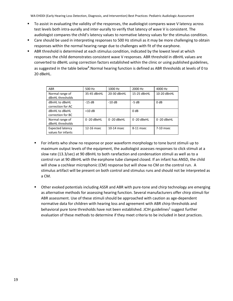- To assist in evaluating the validity of the responses, the audiologist compares wave V latency across test levels both intra-aurally and inter-aurally to verify that latency of wave V is consistent. The audiologist compares the child's latency values to normative latency values for the stimulus condition.
- Care should be used in interpreting responses to 500 Hz stimuli as it may be more challenging to obtain responses within the normal hearing range due to challenges with fit of the earphone.
- ABR threshold is determined at each stimulus condition, indicated by the lowest level at which responses the child demonstrates consistent wave V responses. ABR threshold in dBnHL values are converted to dBeHL using correction factors established within the clinic or using published guidelines, as suggested in the table below<sup>4</sup>. Normal hearing function is defined as ABR thresholds at levels of 0 to 20 dBeHL.

| <b>ABR</b>              | 500 Hz      | 1000 Hz        | 2000 Hz          | 4000 Hz        |
|-------------------------|-------------|----------------|------------------|----------------|
| Normal range of         | 35-45 dBnHL | 20-30 dBnHL    | 15-25 dBnHL      | 10-20 dBnHL    |
| dBnHL thresholds        |             |                |                  |                |
| dBnHL to dBeHL          | $-15dB$     | $-10dB$        | $-5 dB$          | 0 dB           |
| correction for AC       |             |                |                  |                |
| dBnHL to dBeHL          | $+10$ dB    |                | 0 <sub>d</sub> B |                |
| correction for BC       |             |                |                  |                |
| Normal range of         | 0-20 dBeHL  | $0 - 20$ dBeHL | 0-20 dBeHL       | $0 - 20$ dBeHL |
| dBeHL thresholds        |             |                |                  |                |
| <b>Expected latency</b> | 12-16 msec  | 10-14 msec     | 8-11 msec        | 7-10 msec      |
| values for infants      |             |                |                  |                |

- For infants who show no response or poor waveform morphology to tone burst stimuli up to maximum output levels of the equipment, the audiologist assesses responses to click stimuli at a slow rate (13.3/sec) at 90 dBnHL to both rarefaction and condensation stimuli as well as to a control run at 90 dBnHL with the earphone tube clamped closed. If an infant has ANSD, the child will show a cochlear microphonic (CM) response but will show no CM on the control run. A stimulus artifact will be present on both control and stimulus runs and should not be interpreted as a CM.
- Other evoked potentials including ASSR and ABR with pure-tone and chirp technology are emerging as alternative methods for assessing hearing function. Several manufacturers offer chirp stimuli for ABR assessment. Use of these stimuli should be approached with caution as age-dependent normative data for children with hearing loss and agreement with ABR chirp thresholds and behavioral pure tone thresholds have not been established. JCIH guidelines<sup>1</sup> suggest further evaluation of these methods to determine if they meet criteria to be included in best practices.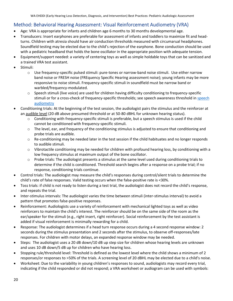# <span id="page-19-1"></span><span id="page-19-0"></span>Method: Behavioral Hearing Assessment: Visual Reinforcement Audiometry (VRA)

- Age: VRA is appropriate for infants and children age 6 months to 30 months developmental age.
- Transducers: Insert earphones are preferable for assessment of infants and toddlers to maximize fit and headturns. Children with atresia should have air conduction thresholds measured with circumarual headphones. Soundfield testing may be elected due to the child's rejection of the earphone. Bone conduction should be used with a pediatric headband that holds the bone oscillator in the appropriate position with adequate tension.
- Equipment/support needed: a variety of centering toys as well as simple holdable toys that can be sanitized and a trained VRA test assistant.
- Stimuli:
	- o Use frequency-specific pulsed stimuli: pure-tones or narrow-band noise stimuli. Use either narrow band noise or FRESH noise (FREquency Specific Hearing assessment noise); young infants may be more responsive to noise stimuli. Frequency-specific stimuli in soundfield must be narrow band or warbled/frequency-modulated.
	- $\circ$  Speech stimuli (live voice) are used for children having difficulty conditioning to frequency-specific stimuli or for a cross-check of frequency-specific thresholds; see [speech](#page-23-0) awareness threshold in speech [audiometry](#page-23-0)
- Conditioning trials: At the beginning of the test session, the audiologist pairs the stimulus and the reinforcer at an audible level (20 dB above presumed threshold or at 50-80 dBHL for unknown hearing status).
	- $\circ$  Conditioning with frequency-specific stimuli is preferable, but a speech stimulus is used if the child cannot be conditioned with frequency-specific stimuli.
	- $\circ$  The level, ear, and frequency of the conditioning stimulus is adjusted to ensure that conditioning and probe trials are audible.
	- $\circ$  Re-conditioning may be needed later in the test session if the child habituates and no longer responds to audible stimuli.
	- $\circ$  Vibrotactile conditioning may be needed for children with profound hearing loss, by conditioning with a low frequency stimulus at maximum output of the bone oscillator.
	- $\circ$  Probe trials: The audiologist presents a stimulus at the same level used during conditioning trials to determine if the child is conditioned. Threshold search begins after a response on a probe trial; if no response, conditioning trials continue.
- Control trials: The audiologist may measure the child's responses during control/silent trials to determine the child's rate of false responses. Valid testing occurs when the false-positive rate is <30%.
- Toss trials: if child is not ready to listen during a test trial, the audiologist does not record the child's response, and repeats the trial.
- Inter-stimulus intervals: The audiologist varies the time between stimuli (inter-stimulus interval) to avoid a pattern that promotes false-positive responses.
- Reinforcement: Audiologists use a variety of reinforcement with mechanical lighted toys as well as video reinforcers to maintain the child's interest. The reinforcer should be on the same side of the room as the ear/speaker for the stimuli (e.g., right insert, right reinforcer). Social reinforcement by the test assistant is added if visual reinforcement is minimally rewarding for a child.
- Response: The audiologist determines if a head turn response occurs during a 4 second response window: 2 seconds during the stimulus presentation and 2 seconds after the stimulus, to observe off-responses/late responses. For children with motor delays, an expanded response window may be needed.
- Steps: The audiologist uses a 20 dB down/10 dB up step size for children whose hearing levels are unknown and uses 10 dB down/5 dB up for children who have hearing loss.
- Stopping rule/threshold level: Threshold is defined as the lowest level where the child shows a minimum of 2 responses/or responses to >50% of the trials. A screening level of 20 dBHL may be elected due to a child's noise.
- Worksheet: Due to the variability in young children's responses to sound, audiologists may record every trial, indicating if the child responded or did not respond; a VRA worksheet or audiogram can be used with symbols: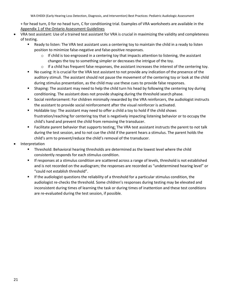+ for head turn, 0 for no head turn, C for conditioning trial. Examples of VRA worksheets are available in the [Appendix 1 of the Ontario Assessment Guidelines](#page-29-0)

- VRA test assistant: Use of a trained test assistant for VRA is crucial in maximizing the validity and completeness of testing.
	- Ready to listen: The VRA test assistant uses a centering toy to maintain the child in a ready to listen position to minimize false-negative and false-positive responses.
		- $\circ$  If child is too engrossed in a centering toy that impacts attention to listening, the assistant changes the toy to something simpler or decreases the intrigue of the toy.
		- $\circ$  If a child has frequent false responses, the assistant increases the interest of the centering toy.
	- No cueing: It is crucial for the VRA test assistant to not provide any indication of the presence of the auditory stimuli. The assistant should not pause the movement of the centering toy or look at the child during stimulus presentation, as the child may use these cues to provide false responses.
	- **•** Shaping: The assistant may need to help the child turn his head by following the centering toy during conditioning. The assistant does not provide shaping during the threshold search phase.
	- Social reinforcement: For children minimally rewarded by the VRA reinforcers, the audiologist instructs the assistant to provide social reinforcement after the visual reinforcer is activated.
	- Holdable toy: The assistant may need to offer a child a toy to hold if the child shows frustration/reaching for centering toy that is negatively impacting listening behavior or to occupy the child's hand and prevent the child from removing the transducer.
	- Facilitate parent behavior that supports testing: The VRA test assistant instructs the parent to not talk during the test session, and to not cue the child if the parent hears a stimulus. The parent holds the child's arm to prevent/reduce the child's removal of the transducer.
- **Interpretation** 
	- **•** Threshold: Behavioral hearing thresholds are determined as the lowest level where the child consistently responds for each stimulus condition.
	- **■** If responses at a stimulus condition are scattered across a range of levels, threshold is not established and is not recorded on the audiogram; the responses are recorded as "undetermined hearing level" or "could not establish threshold".
	- **■** If the audiologist questions the reliability of a threshold for a particular stimulus condition, the audiologist re-checks the threshold. Some children's responses during testing may be elevated and inconsistent during times of learning the task or during times of inattention and these test conditions are re-evaluated during the test session, if possible.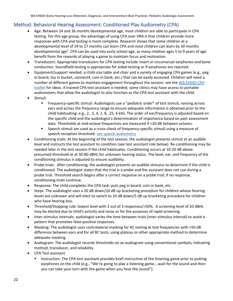# <span id="page-21-0"></span>Method: Behavioral Hearing Assessment: Conditioned Play Audiometry (CPA)

- <span id="page-21-1"></span>• Age: Between 24 and 36 months developmental age, most children are able to participate in CPA testing. For this age group, the advantage of using CPA over VRA is that children provide more responses with CPA and testing is more complete. Research shows that some children at a developmental level of 24 to 27 months can learn CPA and most children can learn by 30 months developmental age<sup>3</sup>. CPA can be used into early school-age, as many children ages 5 to 9 years of age benefit from the rewards of playing a game to maintain focus and motivation.
- Transducers: Appropriate transducers for CPA testing include insert or circumarual earphones and bone conduction. Soundfield testing is appropriate for aided testing or if earphones are rejected.
- Equipment/support needed: a child-size table and chair and a variety of engaging CPA games (e.g., peg in board, toy in bucket, connect4, coin in bank, etc.) that can be easily accessed. Children will need a number of different games to maintain engagement throughout the session: see the WA EHDDI CPA [toolkit](https://live-wselc.pantheonsite.io/wp-content/uploads/2020/06/cpa-tool-kit-for-audiologists-katie-langford-uw-lend-project.pptx) for ideas. A trained CPA test assistant is needed; some clinics may have access to portable audiometers that allow the audiologist to also function as the CPA test assistant with the child.
- **Stimuli** 
	- Frequency-specific stimuli: Audiologists use a "pediatric order" of test stimuli, varying across ears and across the frequency range to ensure adequate information is obtained prior to the child habituating: e.g., 2, .5, 4, 1, 8, .25, 6 kHz. The order of ear/frequency is adjusted based on the specific child and the audiologist's determination of importance based on past assessment data. Thresholds at mid-octave frequencies are measured if >20 dB between octaves.
	- **EXECT** Speech stimuli are used as a cross-check of frequency-specific stimuli using a measure of speech reception threshold: [see speech audiometry](#page-23-0)
- Conditioning trials: At the beginning of the test session, the audiologist presents stimuli at an audible level and instructs the test assistant to condition (see test assistant role below). Re-conditioning may be needed later in the test session if the child habituates. Conditioning occurs at 10-20 dB above presumed threshold or at 50-80 dBHL for unknown hearing status. The level, ear, and frequency of the conditioning stimulus is adjusted to ensure audibility.
- Probe trials: After conditioning, the audiologist presents an audible stimulus to determine if the child is conditioned. The audiologist states that the trial is a probe and the assistant does not cue during a probe trial. Threshold search begins after a correct response on a probe trial; if no response, conditioning trials continue.
- Response: The child completes the CPA task: puts peg in board, coin in bank, etc.
- Steps: The audiologist uses a 20 dB down/10 dB up bracketing procedure for children whose hearing levels are unknown and will elect to switch to 10 dB down/5 dB up bracketing procedure for children who have hearing loss.
- Threshold/Stopping rule: lowest level with 2 out of 3 responses/>50%. A screening level of 20 dBHL may be elected due to child's activity and noise or for the purposes of rapid screening.
- Inter-stimulus intervals: audiologist varies the time between trials (inter-stimulus interval) to avoid a pattern that promotes false-positive responses.
- Masking: The audiologist uses contralateral masking for AC testing at test frequencies with >50 dB difference between ears and for all BC tests, using plateau or other appropriate method to determine adequate masking.
- Audiogram: The audiologist records thresholds on an audiogram using conventional symbols; indicating method, transducer, and reliability.
- CPA Test assistant
	- Instruction: The CPA test assistant provides brief instruction of the listening game prior to putting earphones on the child (e.g., "We're going to play a listening game….wait for the sound and then you can take your turn with the game when you hear the sound").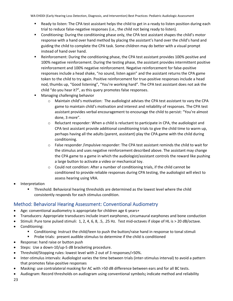- Ready to listen: The CPA test assistant helps the child to get in a ready to listen position during each trial to reduce false-negative responses (i.e., the child not being ready to listen).
- Conditioning: During the conditioning phase only, the CPA test assistant shapes the child's motor response with a hand over hand method by placing the assistant's hand over the child's hand and guiding the child to complete the CPA task. Some children may do better with a visual prompt instead of hand over hand.
- Reinforcement: During the conditioning phase, the CPA test assistant provides 100% positive and 100% negative reinforcement. During the testing phase, the assistant provides intermittent positive reinforcement and 100% negative reinforcement. Negative reinforcement for false-positive responses include a head shake, "no sound, listen again" and the assistant returns the CPA game token to the child to try again. Positive reinforcement for true-positive responses include a head nod, thumbs up, "Good listening", "You're working hard". The CPA test assistant does not ask the child "do you hear it?", as this query promotes false responses.
- Managing challenging behavior
	- $\circ$  Maintain child's motivation: The audiologist advises the CPA test assistant to vary the CPA game to maintain child's motivation and interest and reliability of responses. The CPA test assistant provides verbal encouragement to encourage the child to persist: "You're almost done, 3 more".
	- $\circ$  Reluctant responder: When a child is reluctant to participate in CPA, the audiologist and CPA test assistant provide additional conditioning trials to give the child time to warm up, perhaps having all the adults (parent, assistant) play the CPA game with the child during conditioning.
	- $\circ$  False responder /impulsive responder: The CPA test assistant reminds the child to wait for the stimulus and uses negative reinforcement described above. The assistant may change the CPA game to a game in which the audiologist/assistant controls the reward like pushing a large button to activate a video or mechanical toy.
	- $\circ$  Could not condition: After a number of conditioning trials, if the child cannot be conditioned to provide reliable responses during CPA testing, the audiologist will elect to assess hearing using VRA.
- **Interpretation** 
	- **•** Threshold: Behavioral hearing thresholds are determined as the lowest level where the child consistently responds for each stimulus condition.

## <span id="page-22-0"></span>Method: Behavioral Hearing Assessment: Conventional Audiometry

- Age: conventional audiometry is appropriate for children age 6 years+
- Transducers: Appropriate transducers include insert earphones, circumaural earphones and bone conduction
- Stimuli: Pure tone pulsed stimuli: 1, 2, 4, 6, 8, .5, .25 Hz. Test mid-octaves if slope of HL is > 20 dB/octave.
- Conditioning:
	- Conditioning: Instruct the child/teen to push the button/raise hand in response to tonal stimuli
	- Probe trials: present audible stimulus to determine if the child is conditioned
- Response: hand raise or button push
- Steps: Use a down-10/up-5 dB bracketing procedure.
- Threshold/Stopping rules: lowest level with 2 out of 3 responses/>50%.
- Inter-stimulus intervals: Audiologist varies the time between trials (inter-stimulus interval) to avoid a pattern that promotes false-positive responses
- Masking: use contralateral masking for AC with >50 dB difference between ears and for all BC tests.
- Audiogram: Record thresholds on audiogram using conventional symbols**;** indicate method and reliability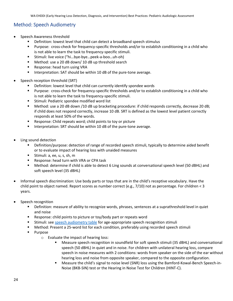### <span id="page-23-0"></span>Method: Speech Audiometry

- Speech Awareness threshold
	- Definition: lowest level that child can detect a broadband speech stimulus
	- Purpose: cross-check for frequency-specific thresholds and/or to establish conditioning in a child who is not able to learn the task to frequency-specific stimuli.
	- Stimuli: live voice ("hi...bye-bye...peek-a-boo...uh-oh)
	- Method: use a 20 dB down/ 10 dB up threshold search
	- Response: head turn using VRA
	- **■** Interpretation: SAT should be within 10 dB of the pure-tone average.
- Speech reception threshold (SRT)
	- Definition: lowest level that child can currently identify spondee words
	- Purpose: cross-check for frequency-specific thresholds and/or to establish conditioning in a child who is not able to learn the task to frequency-specific stimuli.
	- Stimuli: Pediatric spondee modified word list
	- Method: use a 20 dB down /10 dB up bracketing procedure: if child responds correctly, decrease 20 dB; if child does not respond correctly, increase 10 dB. SRT is defined as the lowest level patient correctly responds at least 50% of the words.
	- Response: Child repeats word; child points to toy or picture
	- Interpretation: SRT should be within 10 dB of the pure-tone average.
- Ling sound detection
	- **•** Definition/purpose: detection of range of recorded speech stimuli, typically to determine aided benefit or to evaluate impact of hearing loss with unaided measures
	- Stimuli: a, ee, u, s, sh, m
	- Response: head turn with VRA or CPA task
	- Method: determine if child is able to detect 6 Ling sounds at conversational speech level (50 dBHL) and soft speech level (35 dBHL)
- Informal speech discrimination: Use body parts or toys that are in the child's receptive vocabulary. Have the child point to object named. Report scores as number correct (e.g., 7/10) not as percentage. For children < 3 years.
- Speech recognition
	- **EXEDEFERITHER IN A SET ASSET ASSET ASSET IS A SET ASSET IS A SET ALLO F** Definition: measure in quiet and noise
	- Response: child points to picture or toy/body part or repeats word
	- Stimuli: see [speech audiometry table](#page-25-0) for age-appropriate speech recognition stimuli
	- Method: Present a 25-word list for each condition, preferably using recorded speech stimuli
	- Purpose
		- o Evaluate the impact of hearing loss:
			- Measure speech recognition in soundfield for soft speech stimuli (35 dBHL) and conversational speech (50 dBHL) in quiet and in noise. For children with unilateral hearing loss, compare speech in noise measures with 2 conditions: words from speaker on the side of the ear without hearing loss and noise from opposite speaker, compared to the opposite configuration.
			- Measure the child's signal to noise level (SNR) loss using the Bamford-Kowal-Bench Speech-in-Noise (BKB-SIN) test or the Hearing in Noise Test for Children (HINT-C).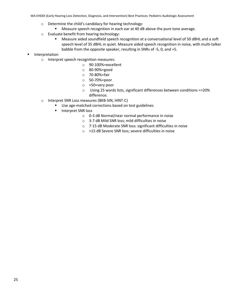- o Determine the child's candidacy for hearing technology:
	- Measure speech recognition in each ear at 40 dB above the pure tone average.
- o Evaluate benefit from hearing technology:
	- **■** Measure aided soundfield speech recognition at a conversational level of 50 dBHL and a soft speech level of 35 dBHL in quiet. Measure aided speech recognition in noise, with multi-talker babble from the opposite speaker, resulting in SNRs of -5, 0, and +5.
- Interpretation
	- o Interpret speech recognition measures:
		- o 90-100%=excellent
		- o 80-90%=good
		- o 70-80%=fair
		- o 50-70%=poor
		- o <50=very poor
		- o Using 25 words lists, significant differences between conditions =>20% difference.
	- o Interpret SNR Loss measures (BKB-SIN, HINT-C)
		- Use age-matched corrections based on test guidelines
		- Interpret SNR loss
			- o 0-3 dB Normal/near normal performance in noise
			- o 3-7 dB Mild SNR loss; mild difficulties in noise
			- o 7-15 dB Moderate SNR loss: significant difficulties in noise
			- o >15 dB Severe SNR loss; severe difficulties in noise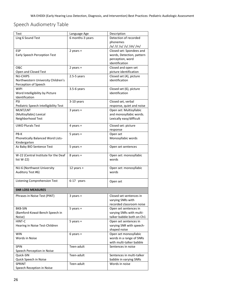# <span id="page-25-0"></span>Speech Audiometry Table

| Test                                  | Language Age     | Description               |
|---------------------------------------|------------------|---------------------------|
| Ling 6 Sound Test                     | 6 months-3 years | Detection of recorded     |
|                                       |                  | phonemes                  |
|                                       |                  | /a/ /i/ /u/ /s/ /sh/ /m/  |
| ESP                                   | 2 years $+$      | Closed set: Spondees and  |
| Early Speech Perception Test          |                  | words, Detection, pattern |
|                                       |                  | perception, word          |
|                                       |                  | identification            |
| <b>O&amp;C</b>                        | 2 years +        | Closed and open set       |
| Open and Closed Test                  |                  | picture identification    |
| <b>NU-CHIPS</b>                       | $2.5 - 5$ years  | Closed set (4), picture   |
| Northwestern University Children's    |                  | identification            |
| Perception of Speech                  |                  |                           |
| <b>WIPI</b>                           | $3.5-6$ years    | Closed set (6), picture   |
| Word Intelligibility by Picture       |                  | identification            |
| Identification                        |                  |                           |
| PSI                                   | 3-10 years       | Closed set, verbal        |
| Pediatric Speech Intelligibility Test |                  | response, quiet and noise |
| MLNT/LNT                              | $3$ years +      | Open set: Multisyllabic   |
| (Multisyllabic) Lexical               |                  | and monosyllabic words.   |
| Neighborhood Test                     |                  | Lexically easy/difficult  |
|                                       |                  |                           |
| <b>UWO Plurals Test</b>               | 4 years +        | Closed set: picture       |
|                                       |                  | response                  |
| PB-K                                  | $5$ years $+$    | Open set                  |
| Phonetically Balanced Word Lists-     |                  | Monosyllabic words        |
| Kindergarten                          |                  |                           |
| Az Baby BIO Sentence Test             | $5$ years +      | Open set sentences        |
|                                       |                  |                           |
| W-22 (Central Institute for the Deaf  | 8 years +        | Open set: monosyllabic    |
| list $W-22$ )                         |                  | words                     |
|                                       |                  |                           |
| NU-6 (Northwest University            | 12 years +       | Open set: monosyllabic    |
| Auditory Test #6)                     |                  | words                     |
|                                       |                  |                           |
| Listening Comprehension Test          | 6-17 years       | Open set                  |
|                                       |                  |                           |
| <b>SNR LOSS MEASURES</b>              |                  |                           |
| Phrases in Noise Test (PINT)          | $3$ years +      | Closed set sentences in   |
|                                       |                  | varying SNRs with         |
|                                       |                  | recorded classroom noise  |
| <b>BKB-SIN</b>                        | 5 years +        | Open set sentences in     |
| (Bamford-Kowal-Bench Speech in        |                  | varying SNRs with multi-  |
| Noise)                                |                  | talker babble both on Ch1 |
| HINT-C                                | $5$ years +      | Open set sentences in     |
| Hearing in Noise Test-Children        |                  | varying SNR with speech-  |
|                                       |                  | shaped noise              |
| <b>WIN</b>                            | $6$ years +      | Open set monosyllabic     |
| Words in Noise                        |                  | words in a range of SNRs  |
|                                       |                  | with multi-talker babble  |
| <b>SPIN</b>                           | Teen-adult       | Sentences in noise        |
| Speech Perception in Noise            |                  |                           |
| Quick-SIN                             | Teen-adult       | Sentences in multi-talker |
| Quick Speech in Noise                 |                  | babble in varying SNRs    |
| <b>SPRINT</b>                         | Teen-adult       | Words in noise            |
| Speech Reception in Noise             |                  |                           |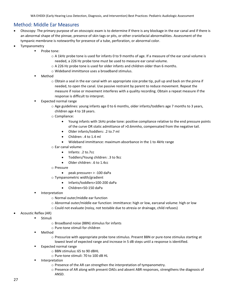#### <span id="page-26-0"></span>Method: Middle Ear Measures

- Otoscopy: The primary purpose of an otoscopic exam is to determine if there is any blockage in the ear canal and if there is an abnormal shape of the pinnae, presence of skin tags or pits, or other craniofacial abnormalities. Assessment of the tympanic membrane is noteworthy for presence of a tube, perforation, or abnormal color.
- **Tympanometry** 
	- Probe tone:
		- o A 1kHz probe tone is used for infants 0 to 9 months of age. If a measure of the ear canal volume is needed, a 226 Hz probe tone must be used to measure ear canal volume.
		- o A 226 Hz probe tone is used for older infants and children older than 6 months.
		- o Wideband immittance uses a broadband stimulus.
	- Method
		- $\circ$  Obtain a seal in the ear canal with an appropriate size probe tip, pull up and back on the pinna if needed, to open the canal. Use passive restraint by parent to reduce movement. Repeat the measure if noise or movement interferes with a quality recording. Obtain a repeat measure if the response is difficult to interpret.
	- Expected normal range
		- o Age guidelines: young infants age 0 to 6 months, older infants/toddlers age 7 months to 3 years, children age 4 to 18 years.
		- o Compliance:
			- Young infants with 1kHz probe tone: positive compliance relative to the end pressure points of the curve OR static admittance of >0.6mmho, compensated from the negative tail.
			- Older infants/toddlers: .2 to.7 ml
			- Children: .4 to 1.4 ml
			- Wideband immittance: maximum absorbance in the 1 to 4kHz range
		- o Ear canal volume:
			- Infants: .2 to.7cc
			- Toddlers/Young children: .3 to 9cc
			- Older children: .6 to 1.4cc
		- o Pressure
			- peak pressure= > -100 daPa
		- o Tympanometric width/gradient
			- Infants/toddlers=100-200 daPa
			- Children=50-150 daPa
	- Interpretation
		- o Normal outer/middle ear function
		- o Abnormal outer/middle ear function: immittance: high or low, earcanal volume: high or low
		- o Could not evaluate (noisy, not testable due to atresia or drainage, child refuses)
- Acoustic Reflex (AR)
	- Stimuli
		- o Broadband noise (BBN) stimulus for infants
		- o Pure-tone stimuli for children
		- Method
			- o Pressurize with appropriate probe tone stimulus. Present BBN or pure-tone stimulus starting at lowest level of expected range and increase in 5 dB steps until a response is identified.
		- Expected normal range
			- o BBN stimulus**:** 65 to 90 dBHL
			- o Pure-tone stimuli: 70 to 100 dB HL
		- **■** Interpretation
			- o Presence of the AR can strengthen the interpretation of tympanometry.
			- o Presence of AR along with present OAEs and absent ABR responses, strengthens the diagnosis of ANSD.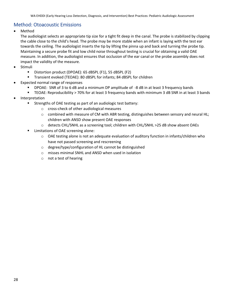#### <span id="page-27-0"></span>Method: Otoacoustic Emissions

• Method

The audiologist selects an appropriate tip size for a tight fit deep in the canal. The probe is stabilized by clipping the cable close to the child's head. The probe may be more stable when an infant is laying with the test ear towards the ceiling. The audiologist inserts the tip by lifting the pinna up and back and turning the probe tip. Maintaining a secure probe fit and low child noise throughout testing is crucial for obtaining a valid OAE measure. In addition, the audiologist ensures that occlusion of the ear canal or the probe assembly does not impact the validity of the measure.

- **Stimuli** 
	- Distortion product (DPOAE): 65 dBSPL (F1), 55 dBSPL (F2)
	- Transient evoked (TEOAE): 80 dBSPL for infants; 84 dBSPL for children
- Expected normal range of responses
	- DPOAE: SNR of 3 to 6 dB and a minimum DP amplitude of -8 dB in at least 3 frequency bands
	- TEOAE: Reproducibility > 70% for at least 3 frequency bands with minimum 3 dB SNR in at least 3 bands
- **Interpretation** 
	- Strengths of OAE testing as part of an audiologic test battery:
		- o cross-check of other audiological measures
		- $\circ$  combined with measure of CM with ABR testing, distinguishes between sensory and neural HL; children with ANSD show present OAE responses
		- o detects CHL/SNHL as a screening tool; children with CHL/SNHL >25 dB show absent OAEs
	- Limitations of OAE screening alone:
		- $\circ$  OAE testing alone is not an adequate evaluation of auditory function in infants/children who have not passed screening and rescreening
		- o degree/type/configuration of HL cannot be distinguished
		- o misses minimal SNHL and ANSD when used in isolation
		- o not a test of hearing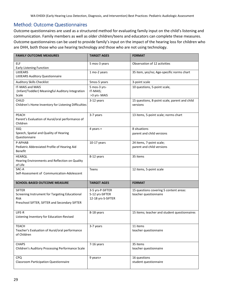### <span id="page-28-0"></span>Method: Outcome Questionnaires

Outcome questionnaires are used as a structured method for evaluating family input on the child's listening and communication. Family members as well as older children/teens and educators can complete these measures. Outcome questionnaires can be used to provide family's input on the impact of the hearing loss for children who are DHH, both those who use hearing technology and those who are not using technology.

| <b>FAMILY OUTCOME MEASURES</b>                                                                                           | <b>TARGET AGES</b>                                        | <b>FORMAT</b>                                                   |
|--------------------------------------------------------------------------------------------------------------------------|-----------------------------------------------------------|-----------------------------------------------------------------|
| ELF<br><b>Early Listening Function</b>                                                                                   | 5 mos-3 years                                             | Observation of 12 activities                                    |
| LittlEARS<br>LittlEARS Auditory Questionnaire                                                                            | 1 mo-2 years                                              | 35 item, yes/no; Age-specific norms chart                       |
| <b>Auditory Skills Checklist</b>                                                                                         | 5mos-5 years                                              | 3-point scale                                                   |
| IT-MAIS and MAIS<br>(Infant/Toddler) Meaningful Auditory Integration<br>Scale<br><b>CHILD</b>                            | 5 mos-3 yrs-<br>IT-MAIS;<br>>3 yrs- MAIS                  | 10 questions, 5-point scale,                                    |
| Children's Home Inventory for Listening Difficulties                                                                     | 3-12 years                                                | 15 questions, 8-point scale, parent and child<br>versions       |
| PEACH<br>Parent's Evaluation of Aural/oral performance of<br>Children                                                    | 3-7 years                                                 | 13 items, 5-point scale; norms chart                            |
| SSQ<br>Speech, Spatial and Quality of Hearing<br>Questionnaire                                                           | 4 years +                                                 | 8 situations<br>parent and child versions                       |
| P-APHAB<br>Pediatric Abbreviated Profile of Hearing Aid<br><b>Benefit</b>                                                | $10-17$ years                                             | 24 items, 7-point scale;<br>parent and child versions           |
| HEARQL<br>Hearing Environments and Reflection on Quality<br>of Life                                                      | 8-12 years                                                | 35 items                                                        |
| SAC-A<br>Self-Assessment of Communication-Adolescent                                                                     | Teens                                                     | 12 items, 5-point scale                                         |
| SCHOOL-BASED OUTCOME MEASURE                                                                                             | <b>TARGET AGES</b>                                        | <b>FORMAT</b>                                                   |
| <b>SIFTER</b><br>Screening Instrument for Targeting Educational<br>Risk<br>Preschool SIFTER, SIFTER and Secondary SIFTER | 3-5 yrs-P-SIFTER<br>5-12 yrs-SIFTER<br>12-18 yrs-S-SIFTER | 15 questions covering 5 content areas:<br>teacher questionnaire |
| LIFE-R<br>Listening Inventory for Education-Revised                                                                      | 8-18 years                                                | 15 items; teacher and student questionnaires                    |
| <b>TEACH</b><br>Teacher's Evaluation of Aural/oral performance<br>of Children                                            | 3-7 years                                                 | 11 items<br>teacher questionnaire                               |
| <b>CHAPS</b><br>Children's Auditory Processing Performance Scale                                                         | 7-16 years                                                | 35 items<br>teacher questionnaire                               |
| <b>CPQ</b><br><b>Classroom Participation Questionnaire</b>                                                               | 9 years+                                                  | 16 questions<br>student questionnaire                           |